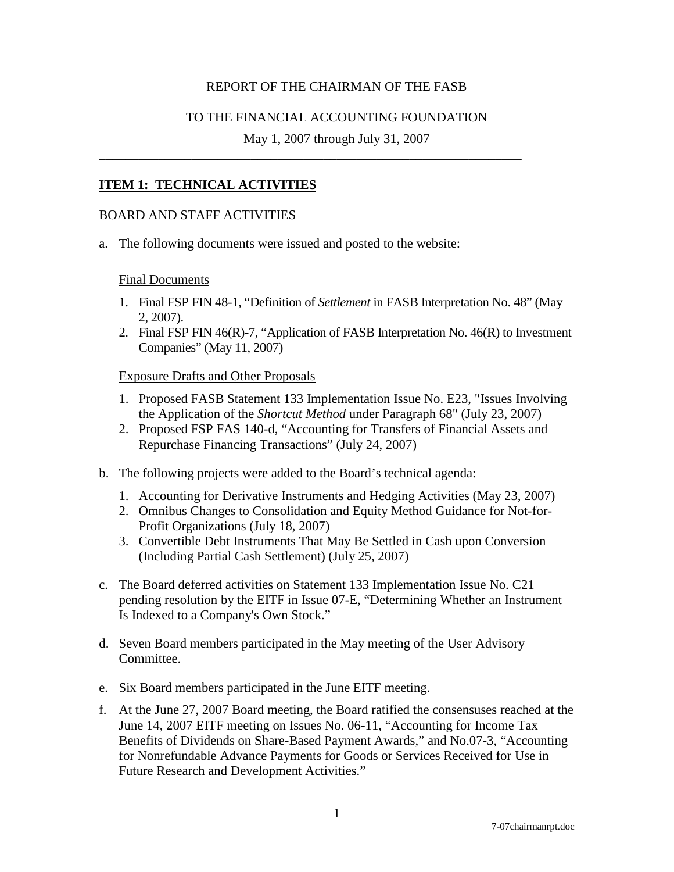#### REPORT OF THE CHAIRMAN OF THE FASB

#### TO THE FINANCIAL ACCOUNTING FOUNDATION

May 1, 2007 through July 31, 2007

\_\_\_\_\_\_\_\_\_\_\_\_\_\_\_\_\_\_\_\_\_\_\_\_\_\_\_\_\_\_\_\_\_\_\_\_\_\_\_\_\_\_\_\_\_\_\_\_\_\_\_\_\_\_\_\_\_\_\_\_\_\_\_\_

### **ITEM 1: TECHNICAL ACTIVITIES**

#### BOARD AND STAFF ACTIVITIES

a. The following documents were issued and posted to the website:

Final Documents

- 1. Final [FSP FIN 48-1,](http://www.fasb.org/fasb_staff_positions/fsp_fin48-1.pdf) "Definition of *Settlement* in FASB Interpretation No. 48" (May 2, 2007).
- 2. Final [FSP FIN 46\(R\)-7,](http://www.fasb.org/fasb_staff_positions/fsp_fin46r-7.pdf) "Application of FASB Interpretation No. 46(R) to Investment Companies" (May 11, 2007)

Exposure Drafts and Other Proposals

- 1. Proposed FASB Statement 133 Implementation Issue No. E23, "Issues Involving the Application of the *Shortcut Method* under Paragraph 68" (July 23, 2007)
- 2. Proposed FSP FAS 140-d, "Accounting for Transfers of Financial Assets and Repurchase Financing Transactions" (July 24, 2007)
- b. The following projects were added to the Board's technical agenda:
	- 1. Accounting for Derivative Instruments and Hedging Activities (May 23, 2007)
	- 2. Omnibus Changes to Consolidation and Equity Method Guidance for Not-for-Profit Organizations (July 18, 2007)
	- 3. Convertible Debt Instruments That May Be Settled in Cash upon Conversion (Including Partial Cash Settlement) (July 25, 2007)
- c. The Board deferred activities on Statement 133 Implementation Issue No. C21 pending resolution by the EITF in Issue 07-E, "Determining Whether an Instrument Is Indexed to a Company's Own Stock."
- d. Seven Board members participated in the May meeting of the User Advisory Committee.
- e. Six Board members participated in the June EITF meeting.
- f. At the June 27, 2007 Board meeting, the Board ratified the consensuses reached at the June 14, 2007 EITF meeting on Issues No. 06-11, "Accounting for Income Tax Benefits of Dividends on Share-Based Payment Awards," and No.07-3, "Accounting for Nonrefundable Advance Payments for Goods or Services Received for Use in Future Research and Development Activities."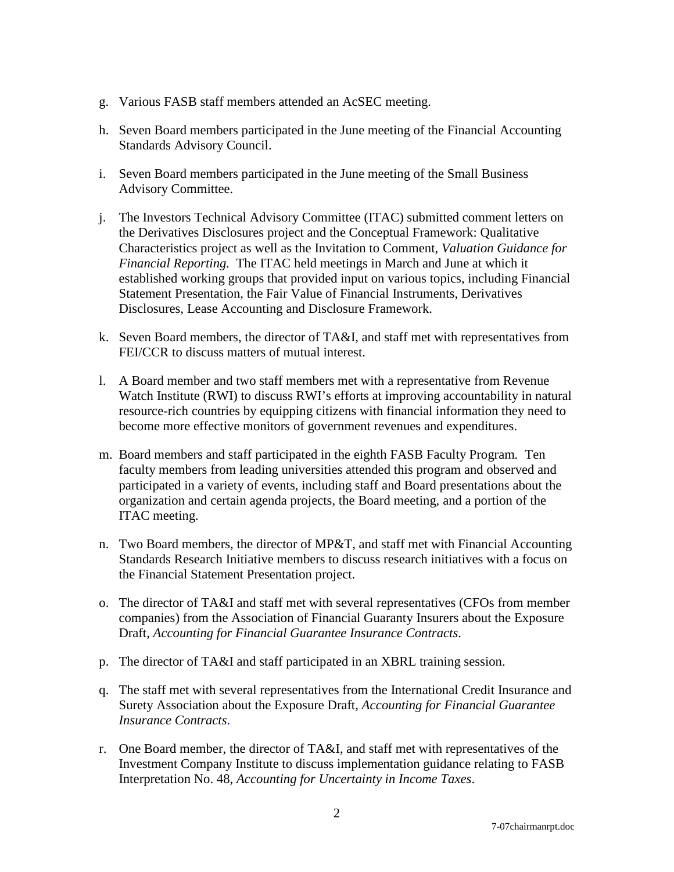- g. Various FASB staff members attended an AcSEC meeting.
- h. Seven Board members participated in the June meeting of the Financial Accounting Standards Advisory Council.
- i. Seven Board members participated in the June meeting of the Small Business Advisory Committee.
- j. The Investors Technical Advisory Committee (ITAC) submitted comment letters on the Derivatives Disclosures project and the Conceptual Framework: Qualitative Characteristics project as well as the Invitation to Comment, *Valuation Guidance for Financial Reporting.* The ITAC held meetings in March and June at which it established working groups that provided input on various topics, including Financial Statement Presentation, the Fair Value of Financial Instruments, Derivatives Disclosures, Lease Accounting and Disclosure Framework.
- k. Seven Board members, the director of TA&I, and staff met with representatives from FEI/CCR to discuss matters of mutual interest.
- l. A Board member and two staff members met with a representative from Revenue Watch Institute (RWI) to discuss RWI's efforts at improving accountability in natural resource-rich countries by equipping citizens with financial information they need to become more effective monitors of government revenues and expenditures.
- m. Board members and staff participated in the eighth FASB Faculty Program*.* Ten faculty members from leading universities attended this program and observed and participated in a variety of events, including staff and Board presentations about the organization and certain agenda projects, the Board meeting, and a portion of the ITAC meeting.
- n. Two Board members, the director of MP&T, and staff met with Financial Accounting Standards Research Initiative members to discuss research initiatives with a focus on the Financial Statement Presentation project.
- o. The director of TA&I and staff met with several representatives (CFOs from member companies) from the Association of Financial Guaranty Insurers about the Exposure Draft, *Accounting for Financial Guarantee Insurance Contracts*.
- p. The director of TA&I and staff participated in an XBRL training session.
- q. The staff met with several representatives from the International Credit Insurance and Surety Association about the Exposure Draft, *Accounting for Financial Guarantee Insurance Contracts*.
- r. One Board member, the director of TA&I, and staff met with representatives of the Investment Company Institute to discuss implementation guidance relating to FASB Interpretation No. 48, *Accounting for Uncertainty in Income Taxes*.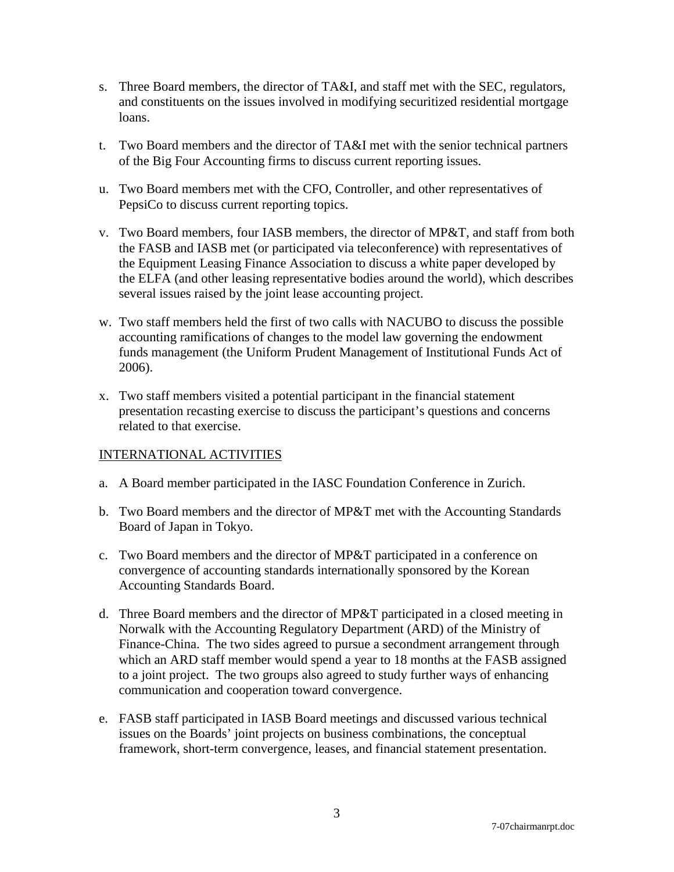- s. Three Board members, the director of TA&I, and staff met with the SEC, regulators, and constituents on the issues involved in modifying securitized residential mortgage loans.
- t. Two Board members and the director of TA&I met with the senior technical partners of the Big Four Accounting firms to discuss current reporting issues.
- u. Two Board members met with the CFO, Controller, and other representatives of PepsiCo to discuss current reporting topics.
- v. Two Board members, four IASB members, the director of MP&T, and staff from both the FASB and IASB met (or participated via teleconference) with representatives of the Equipment Leasing Finance Association to discuss a white paper developed by the ELFA (and other leasing representative bodies around the world), which describes several issues raised by the joint lease accounting project.
- w. Two staff members held the first of two calls with NACUBO to discuss the possible accounting ramifications of changes to the model law governing the endowment funds management (the Uniform Prudent Management of Institutional Funds Act of 2006).
- x. Two staff members visited a potential participant in the financial statement presentation recasting exercise to discuss the participant's questions and concerns related to that exercise.

### INTERNATIONAL ACTIVITIES

- a. A Board member participated in the IASC Foundation Conference in Zurich.
- b. Two Board members and the director of MP&T met with the Accounting Standards Board of Japan in Tokyo.
- c. Two Board members and the director of MP&T participated in a conference on convergence of accounting standards internationally sponsored by the Korean Accounting Standards Board.
- d. Three Board members and the director of MP&T participated in a closed meeting in Norwalk with the Accounting Regulatory Department (ARD) of the Ministry of Finance-China. The two sides agreed to pursue a secondment arrangement through which an ARD staff member would spend a year to 18 months at the FASB assigned to a joint project. The two groups also agreed to study further ways of enhancing communication and cooperation toward convergence.
- e. FASB staff participated in IASB Board meetings and discussed various technical issues on the Boards' joint projects on business combinations, the conceptual framework, short-term convergence, leases, and financial statement presentation.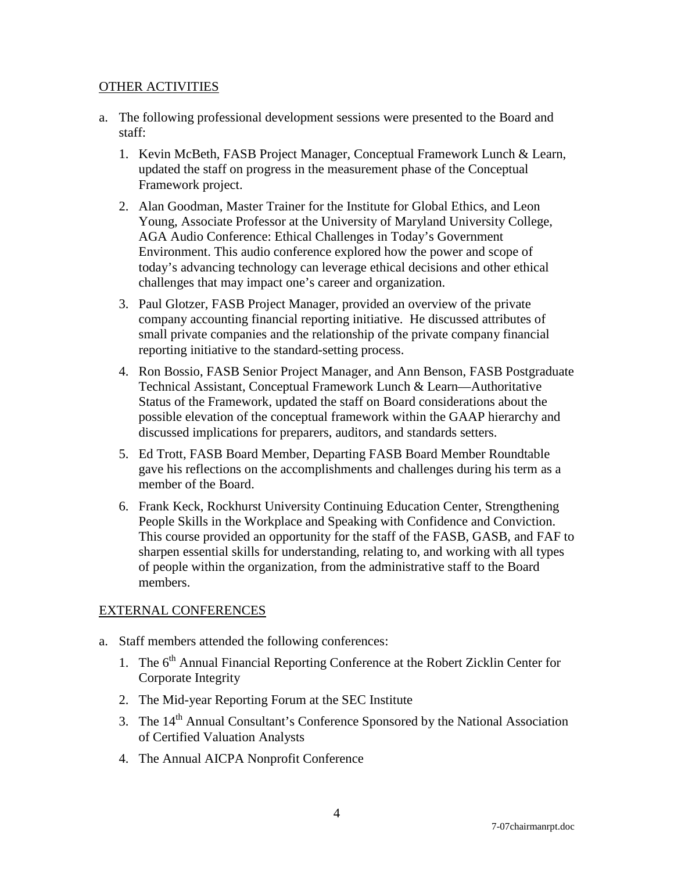#### OTHER ACTIVITIES

- a. The following professional development sessions were presented to the Board and staff:
	- 1. Kevin McBeth, FASB Project Manager, Conceptual Framework Lunch & Learn, updated the staff on progress in the measurement phase of the Conceptual Framework project.
	- 2. Alan Goodman, Master Trainer for the Institute for Global Ethics, and Leon Young, Associate Professor at the University of Maryland University College, AGA Audio Conference: Ethical Challenges in Today's Government Environment. This audio conference explored how the power and scope of today's advancing technology can leverage ethical decisions and other ethical challenges that may impact one's career and organization.
	- 3. Paul Glotzer, FASB Project Manager, provided an overview of the private company accounting financial reporting initiative. He discussed attributes of small private companies and the relationship of the private company financial reporting initiative to the standard-setting process.
	- 4. Ron Bossio, FASB Senior Project Manager, and Ann Benson, FASB Postgraduate Technical Assistant, Conceptual Framework Lunch & Learn—Authoritative Status of the Framework, updated the staff on Board considerations about the possible elevation of the conceptual framework within the GAAP hierarchy and discussed implications for preparers, auditors, and standards setters.
	- 5. Ed Trott, FASB Board Member, Departing FASB Board Member Roundtable gave his reflections on the accomplishments and challenges during his term as a member of the Board.
	- 6. Frank Keck, Rockhurst University Continuing Education Center, Strengthening People Skills in the Workplace and Speaking with Confidence and Conviction. This course provided an opportunity for the staff of the FASB, GASB, and FAF to sharpen essential skills for understanding, relating to, and working with all types of people within the organization, from the administrative staff to the Board members.

### EXTERNAL CONFERENCES

- a. Staff members attended the following conferences:
	- 1. The 6<sup>th</sup> Annual Financial Reporting Conference at the Robert Zicklin Center for Corporate Integrity
	- 2. The Mid-year Reporting Forum at the SEC Institute
	- 3. The 14<sup>th</sup> Annual Consultant's Conference Sponsored by the National Association of Certified Valuation Analysts
	- 4. The Annual AICPA Nonprofit Conference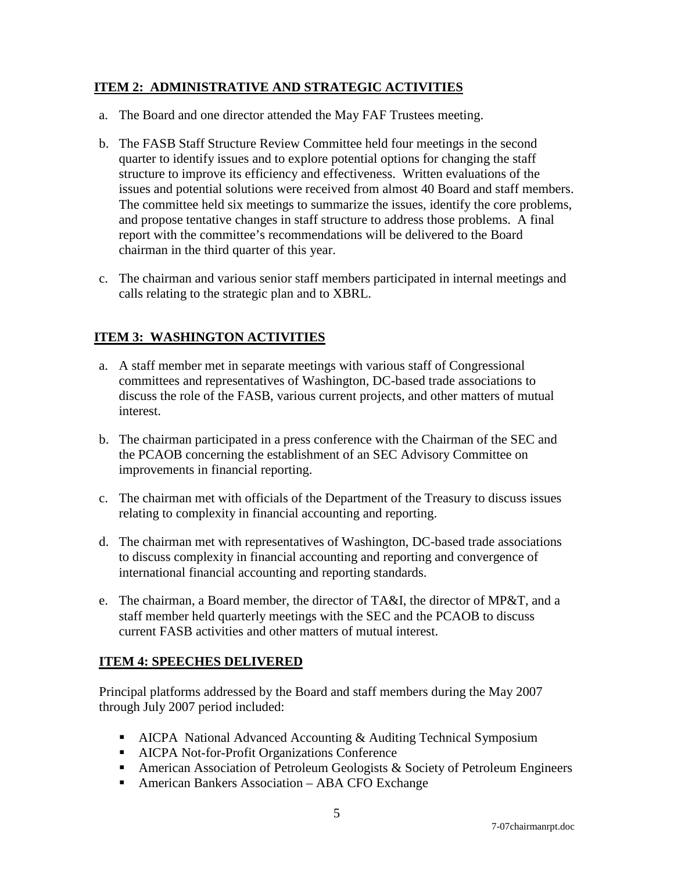### **ITEM 2: ADMINISTRATIVE AND STRATEGIC ACTIVITIES**

- a. The Board and one director attended the May FAF Trustees meeting.
- b. The FASB Staff Structure Review Committee held four meetings in the second quarter to identify issues and to explore potential options for changing the staff structure to improve its efficiency and effectiveness. Written evaluations of the issues and potential solutions were received from almost 40 Board and staff members. The committee held six meetings to summarize the issues, identify the core problems, and propose tentative changes in staff structure to address those problems. A final report with the committee's recommendations will be delivered to the Board chairman in the third quarter of this year.
- c. The chairman and various senior staff members participated in internal meetings and calls relating to the strategic plan and to XBRL.

# **ITEM 3: WASHINGTON ACTIVITIES**

- a. A staff member met in separate meetings with various staff of Congressional committees and representatives of Washington, DC-based trade associations to discuss the role of the FASB, various current projects, and other matters of mutual interest.
- b. The chairman participated in a press conference with the Chairman of the SEC and the PCAOB concerning the establishment of an SEC Advisory Committee on improvements in financial reporting.
- c. The chairman met with officials of the Department of the Treasury to discuss issues relating to complexity in financial accounting and reporting.
- d. The chairman met with representatives of Washington, DC-based trade associations to discuss complexity in financial accounting and reporting and convergence of international financial accounting and reporting standards.
- e. The chairman, a Board member, the director of TA&I, the director of MP&T, and a staff member held quarterly meetings with the SEC and the PCAOB to discuss current FASB activities and other matters of mutual interest.

# **ITEM 4: SPEECHES DELIVERED**

Principal platforms addressed by the Board and staff members during the May 2007 through July 2007 period included:

- AICPA National Advanced Accounting & Auditing Technical Symposium
- AICPA Not-for-Profit Organizations Conference
- **American Association of Petroleum Geologists & Society of Petroleum Engineers**
- American Bankers Association ABA CFO Exchange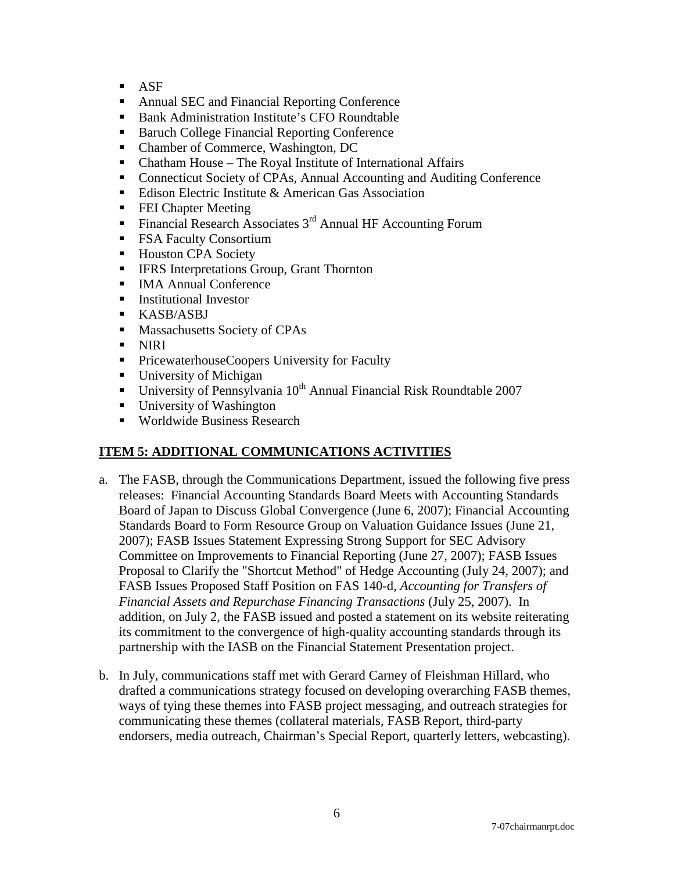- $-$  ASF
- Annual SEC and Financial Reporting Conference
- Bank Administration Institute's CFO Roundtable
- Baruch College Financial Reporting Conference
- Chamber of Commerce, Washington, DC
- Chatham House The Royal Institute of International Affairs
- Connecticut Society of CPAs, Annual Accounting and Auditing Conference
- Edison Electric Institute  $&$  American Gas Association
- **FEI Chapter Meeting**
- Financial Research Associates  $3<sup>rd</sup>$  Annual HF Accounting Forum
- FSA Faculty Consortium
- Houston CPA Society
- **IFRS** Interpretations Group, Grant Thornton
- **IMA Annual Conference**
- **Institutional Investor**
- **KASB/ASBJ**
- **Massachusetts Society of CPAs**
- NIRI
- **PricewaterhouseCoopers University for Faculty**
- University of Michigan
- University of Pennsylvania  $10^{th}$  Annual Financial Risk Roundtable 2007
- University of Washington
- Worldwide Business Research

### **ITEM 5: ADDITIONAL COMMUNICATIONS ACTIVITIES**

- a. The FASB, through the Communications Department, issued the following five press releases: Financial Accounting Standards Board Meets with Accounting Standards Board of Japan to Discuss Global Convergence (June 6, 2007); Financial Accounting Standards Board to Form Resource Group on Valuation Guidance Issues (June 21, 2007); FASB Issues Statement Expressing Strong Support for SEC Advisory Committee on Improvements to Financial Reporting (June 27, 2007); FASB Issues Proposal to Clarify the "Shortcut Method" of Hedge Accounting (July 24, 2007); and FASB Issues Proposed Staff Position on FAS 140-d, *Accounting for Transfers of Financial Assets and Repurchase Financing Transactions* (July 25, 2007). In addition, on July 2, the FASB issued and posted a statement on its website reiterating its commitment to the convergence of high-quality accounting standards through its partnership with the IASB on the Financial Statement Presentation project.
- b. In July, communications staff met with Gerard Carney of Fleishman Hillard, who drafted a communications strategy focused on developing overarching FASB themes, ways of tying these themes into FASB project messaging, and outreach strategies for communicating these themes (collateral materials, FASB Report, third-party endorsers, media outreach, Chairman's Special Report, quarterly letters, webcasting).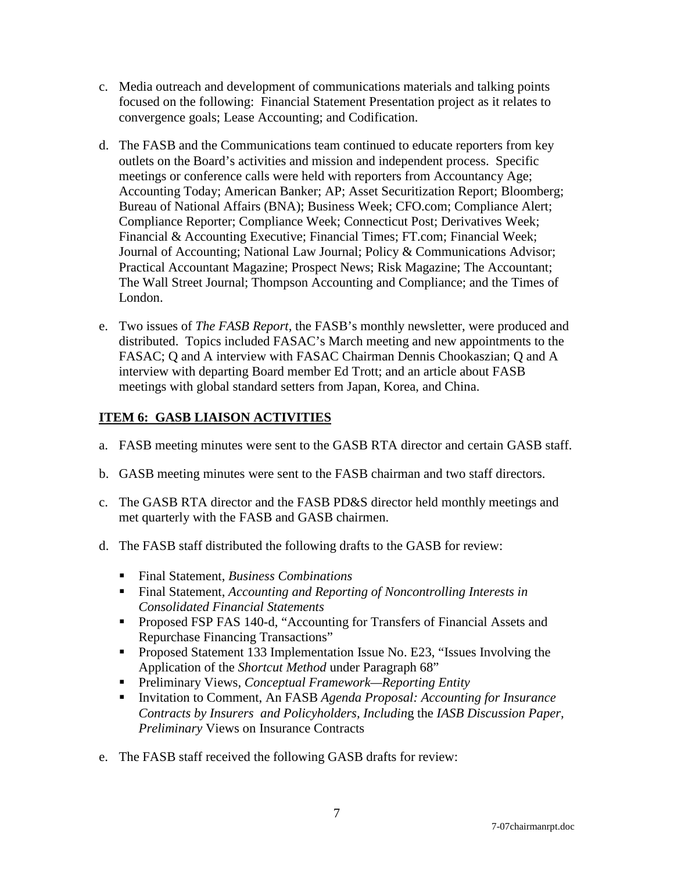- c. Media outreach and development of communications materials and talking points focused on the following: Financial Statement Presentation project as it relates to convergence goals; Lease Accounting; and Codification.
- d. The FASB and the Communications team continued to educate reporters from key outlets on the Board's activities and mission and independent process. Specific meetings or conference calls were held with reporters from Accountancy Age; Accounting Today; American Banker; AP; Asset Securitization Report; Bloomberg; Bureau of National Affairs (BNA); Business Week; CFO.com; Compliance Alert; Compliance Reporter; Compliance Week; Connecticut Post; Derivatives Week; Financial & Accounting Executive; Financial Times; FT.com; Financial Week; Journal of Accounting; National Law Journal; Policy & Communications Advisor; Practical Accountant Magazine; Prospect News; Risk Magazine; The Accountant; The Wall Street Journal; Thompson Accounting and Compliance; and the Times of London.
- e. Two issues of *The FASB Report,* the FASB's monthly newsletter, were produced and distributed. Topics included FASAC's March meeting and new appointments to the FASAC; Q and A interview with FASAC Chairman Dennis Chookaszian; Q and A interview with departing Board member Ed Trott; and an article about FASB meetings with global standard setters from Japan, Korea, and China.

## **ITEM 6: GASB LIAISON ACTIVITIES**

- a. FASB meeting minutes were sent to the GASB RTA director and certain GASB staff.
- b. GASB meeting minutes were sent to the FASB chairman and two staff directors.
- c. The GASB RTA director and the FASB PD&S director held monthly meetings and met quarterly with the FASB and GASB chairmen.
- d. The FASB staff distributed the following drafts to the GASB for review:
	- Final Statement, *Business Combinations*
	- Final Statement, *Accounting and Reporting of Noncontrolling Interests in Consolidated Financial Statements*
	- **Proposed FSP FAS 140-d, "Accounting for Transfers of Financial Assets and** Repurchase Financing Transactions"
	- **Proposed Statement 133 Implementation Issue No. E23, "Issues Involving the** Application of the *Shortcut Method* under Paragraph 68"
	- Preliminary Views, *Conceptual Framework—Reporting Entity*
	- Invitation to Comment, An FASB *Agenda Proposal: Accounting for Insurance Contracts by Insurers and Policyholders, Includin*g the *IASB Discussion Paper, Preliminary* Views on Insurance Contracts
- e. The FASB staff received the following GASB drafts for review: